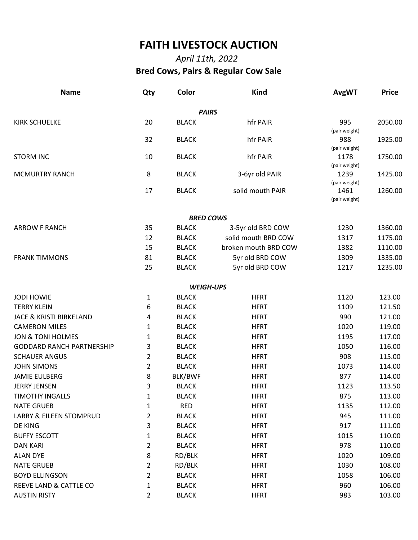## **FAITH LIVESTOCK AUCTION**

## *April 11th, 2022*  **Bred Cows, Pairs & Regular Cow Sale**

| <b>Name</b>                        | Qty            | Color            | <b>Kind</b>          | <b>AvgWT</b>          | <b>Price</b> |
|------------------------------------|----------------|------------------|----------------------|-----------------------|--------------|
|                                    |                | <b>PAIRS</b>     |                      |                       |              |
| <b>KIRK SCHUELKE</b>               | 20             | <b>BLACK</b>     | hfr PAIR             | 995<br>(pair weight)  | 2050.00      |
|                                    | 32             | <b>BLACK</b>     | hfr PAIR             | 988<br>(pair weight)  | 1925.00      |
| <b>STORM INC</b>                   | 10             | <b>BLACK</b>     | hfr PAIR             | 1178<br>(pair weight) | 1750.00      |
| <b>MCMURTRY RANCH</b>              | 8              | <b>BLACK</b>     | 3-6yr old PAIR       | 1239<br>(pair weight) | 1425.00      |
|                                    | 17             | <b>BLACK</b>     | solid mouth PAIR     | 1461<br>(pair weight) | 1260.00      |
|                                    |                | <b>BRED COWS</b> |                      |                       |              |
| <b>ARROW F RANCH</b>               | 35             | <b>BLACK</b>     | 3-5yr old BRD COW    | 1230                  | 1360.00      |
|                                    | 12             | <b>BLACK</b>     | solid mouth BRD COW  | 1317                  | 1175.00      |
|                                    | 15             | <b>BLACK</b>     | broken mouth BRD COW | 1382                  | 1110.00      |
| <b>FRANK TIMMONS</b>               | 81             | <b>BLACK</b>     | 5yr old BRD COW      | 1309                  | 1335.00      |
|                                    | 25             | <b>BLACK</b>     | 5yr old BRD COW      | 1217                  | 1235.00      |
|                                    |                | <b>WEIGH-UPS</b> |                      |                       |              |
| <b>JODI HOWIE</b>                  | 1              | <b>BLACK</b>     | <b>HFRT</b>          | 1120                  | 123.00       |
| <b>TERRY KLEIN</b>                 | 6              | <b>BLACK</b>     | <b>HFRT</b>          | 1109                  | 121.50       |
| <b>JACE &amp; KRISTI BIRKELAND</b> | 4              | <b>BLACK</b>     | <b>HFRT</b>          | 990                   | 121.00       |
| <b>CAMERON MILES</b>               | 1              | <b>BLACK</b>     | <b>HFRT</b>          | 1020                  | 119.00       |
| <b>JON &amp; TONI HOLMES</b>       | 1              | <b>BLACK</b>     | <b>HFRT</b>          | 1195                  | 117.00       |
| <b>GODDARD RANCH PARTNERSHIP</b>   | 3              | <b>BLACK</b>     | <b>HFRT</b>          | 1050                  | 116.00       |
| <b>SCHAUER ANGUS</b>               | 2              | <b>BLACK</b>     | <b>HFRT</b>          | 908                   | 115.00       |
| <b>JOHN SIMONS</b>                 | $\overline{2}$ | <b>BLACK</b>     | <b>HFRT</b>          | 1073                  | 114.00       |
| <b>JAMIE EULBERG</b>               | 8              | BLK/BWF          | <b>HFRT</b>          | 877                   | 114.00       |
| <b>JERRY JENSEN</b>                | 3              | <b>BLACK</b>     | <b>HFRT</b>          | 1123                  | 113.50       |
| <b>TIMOTHY INGALLS</b>             | 1              | <b>BLACK</b>     | <b>HFRT</b>          | 875                   | 113.00       |
| <b>NATE GRUEB</b>                  | 1              | <b>RED</b>       | <b>HFRT</b>          | 1135                  | 112.00       |
| LARRY & EILEEN STOMPRUD            | $\overline{2}$ | <b>BLACK</b>     | <b>HFRT</b>          | 945                   | 111.00       |
| DE KING                            | 3              | <b>BLACK</b>     | <b>HFRT</b>          | 917                   | 111.00       |
| <b>BUFFY ESCOTT</b>                | $\mathbf{1}$   | <b>BLACK</b>     | <b>HFRT</b>          | 1015                  | 110.00       |
| <b>DAN KARI</b>                    | $\overline{2}$ | <b>BLACK</b>     | <b>HFRT</b>          | 978                   | 110.00       |
| <b>ALAN DYE</b>                    | 8              | RD/BLK           | <b>HFRT</b>          | 1020                  | 109.00       |
| <b>NATE GRUEB</b>                  | $\overline{2}$ | RD/BLK           | <b>HFRT</b>          | 1030                  | 108.00       |
| <b>BOYD ELLINGSON</b>              | $\overline{2}$ | <b>BLACK</b>     | <b>HFRT</b>          | 1058                  | 106.00       |
| REEVE LAND & CATTLE CO             | $\mathbf{1}$   | <b>BLACK</b>     | <b>HFRT</b>          | 960                   | 106.00       |
| <b>AUSTIN RISTY</b>                | $\overline{2}$ | <b>BLACK</b>     | <b>HFRT</b>          | 983                   | 103.00       |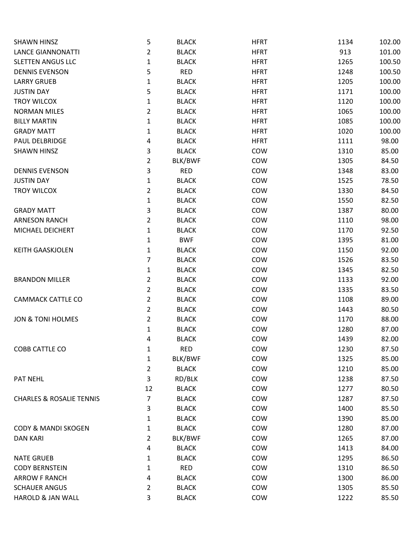| <b>SHAWN HINSZ</b>                  | 5              | <b>BLACK</b> | <b>HFRT</b> | 1134 | 102.00 |
|-------------------------------------|----------------|--------------|-------------|------|--------|
| <b>LANCE GIANNONATTI</b>            | $\overline{2}$ | <b>BLACK</b> | <b>HFRT</b> | 913  | 101.00 |
| <b>SLETTEN ANGUS LLC</b>            | $\mathbf{1}$   | <b>BLACK</b> | <b>HFRT</b> | 1265 | 100.50 |
| <b>DENNIS EVENSON</b>               | 5              | <b>RED</b>   | <b>HFRT</b> | 1248 | 100.50 |
| <b>LARRY GRUEB</b>                  | $\mathbf{1}$   | <b>BLACK</b> | <b>HFRT</b> | 1205 | 100.00 |
| <b>JUSTIN DAY</b>                   | 5              | <b>BLACK</b> | <b>HFRT</b> | 1171 | 100.00 |
| TROY WILCOX                         | $\mathbf{1}$   | <b>BLACK</b> | <b>HFRT</b> | 1120 | 100.00 |
| <b>NORMAN MILES</b>                 | $\overline{2}$ | <b>BLACK</b> | <b>HFRT</b> | 1065 | 100.00 |
| <b>BILLY MARTIN</b>                 | $\mathbf{1}$   | <b>BLACK</b> | <b>HFRT</b> | 1085 | 100.00 |
| <b>GRADY MATT</b>                   | 1              | <b>BLACK</b> | <b>HFRT</b> | 1020 | 100.00 |
| PAUL DELBRIDGE                      | 4              | <b>BLACK</b> | <b>HFRT</b> | 1111 | 98.00  |
| <b>SHAWN HINSZ</b>                  | 3              | <b>BLACK</b> | COW         | 1310 | 85.00  |
|                                     | $\overline{2}$ | BLK/BWF      | COW         | 1305 | 84.50  |
| <b>DENNIS EVENSON</b>               | 3              | <b>RED</b>   | COW         | 1348 | 83.00  |
| <b>JUSTIN DAY</b>                   | $\mathbf{1}$   | <b>BLACK</b> | COW         | 1525 | 78.50  |
| TROY WILCOX                         | $\overline{2}$ | <b>BLACK</b> | COW         | 1330 | 84.50  |
|                                     | $\mathbf{1}$   | <b>BLACK</b> | COW         | 1550 | 82.50  |
| <b>GRADY MATT</b>                   | 3              | <b>BLACK</b> | COW         | 1387 | 80.00  |
| <b>ARNESON RANCH</b>                | $\overline{a}$ | <b>BLACK</b> | COW         | 1110 | 98.00  |
| MICHAEL DEICHERT                    | $\mathbf{1}$   | <b>BLACK</b> | COW         | 1170 | 92.50  |
|                                     | $\mathbf{1}$   | <b>BWF</b>   | COW         | 1395 | 81.00  |
| <b>KEITH GAASKJOLEN</b>             | $\mathbf{1}$   | <b>BLACK</b> | COW         | 1150 | 92.00  |
|                                     | 7              | <b>BLACK</b> | COW         | 1526 | 83.50  |
|                                     | $\mathbf{1}$   | <b>BLACK</b> | COW         | 1345 | 82.50  |
| <b>BRANDON MILLER</b>               | $\overline{a}$ | <b>BLACK</b> | COW         | 1133 | 92.00  |
|                                     | $\overline{a}$ | <b>BLACK</b> | COW         | 1335 | 83.50  |
| <b>CAMMACK CATTLE CO</b>            | $\overline{2}$ | <b>BLACK</b> | COW         | 1108 | 89.00  |
|                                     | $\overline{2}$ | <b>BLACK</b> | COW         | 1443 | 80.50  |
| <b>JON &amp; TONI HOLMES</b>        | $\overline{c}$ | <b>BLACK</b> | COW         | 1170 | 88.00  |
|                                     | $\mathbf{1}$   | <b>BLACK</b> | COW         | 1280 | 87.00  |
|                                     | 4              | <b>BLACK</b> | COW         | 1439 | 82.00  |
| COBB CATTLE CO                      | 1              | <b>RED</b>   | COW         | 1230 | 87.50  |
|                                     | $\mathbf{1}$   | BLK/BWF      | COW         | 1325 | 85.00  |
|                                     | $\overline{a}$ | <b>BLACK</b> | COW         | 1210 | 85.00  |
| PAT NEHL                            | 3              | RD/BLK       | COW         | 1238 | 87.50  |
|                                     | 12             | <b>BLACK</b> | COW         | 1277 | 80.50  |
| <b>CHARLES &amp; ROSALIE TENNIS</b> | 7              | <b>BLACK</b> | COW         | 1287 | 87.50  |
|                                     | 3              | <b>BLACK</b> | COW         | 1400 | 85.50  |
|                                     | $\mathbf{1}$   | <b>BLACK</b> | COW         | 1390 | 85.00  |
| <b>CODY &amp; MANDI SKOGEN</b>      | $\mathbf{1}$   | <b>BLACK</b> | COW         | 1280 | 87.00  |
| <b>DAN KARI</b>                     | 2              | BLK/BWF      | COW         | 1265 | 87.00  |
|                                     | 4              | <b>BLACK</b> | COW         | 1413 | 84.00  |
| <b>NATE GRUEB</b>                   | $\mathbf{1}$   | <b>BLACK</b> | COW         | 1295 | 86.50  |
| <b>CODY BERNSTEIN</b>               | 1              | <b>RED</b>   | COW         | 1310 | 86.50  |
| <b>ARROW F RANCH</b>                | 4              | <b>BLACK</b> | COW         | 1300 | 86.00  |
| <b>SCHAUER ANGUS</b>                | $\overline{a}$ | <b>BLACK</b> | COW         | 1305 | 85.50  |
| HAROLD & JAN WALL                   | 3              | <b>BLACK</b> | COW         | 1222 | 85.50  |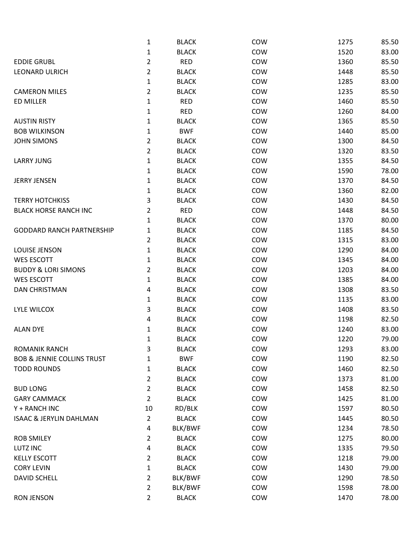|                                       | $\mathbf{1}$   | <b>BLACK</b> | COW        | 1275 | 85.50 |
|---------------------------------------|----------------|--------------|------------|------|-------|
|                                       | 1              | <b>BLACK</b> | COW        | 1520 | 83.00 |
| <b>EDDIE GRUBL</b>                    | $\overline{c}$ | <b>RED</b>   | COW        | 1360 | 85.50 |
| <b>LEONARD ULRICH</b>                 | $\overline{c}$ | <b>BLACK</b> | COW        | 1448 | 85.50 |
|                                       | $\mathbf{1}$   | <b>BLACK</b> | COW        | 1285 | 83.00 |
| <b>CAMERON MILES</b>                  | $\overline{c}$ | <b>BLACK</b> | COW        | 1235 | 85.50 |
| ED MILLER                             | 1              | <b>RED</b>   | COW        | 1460 | 85.50 |
|                                       | $\mathbf{1}$   | <b>RED</b>   | COW        | 1260 | 84.00 |
| <b>AUSTIN RISTY</b>                   | 1              | <b>BLACK</b> | COW        | 1365 | 85.50 |
| <b>BOB WILKINSON</b>                  | 1              | <b>BWF</b>   | COW        | 1440 | 85.00 |
| <b>JOHN SIMONS</b>                    | 2              | <b>BLACK</b> | COW        | 1300 | 84.50 |
|                                       | 2              | <b>BLACK</b> | COW        | 1320 | 83.50 |
| <b>LARRY JUNG</b>                     | $\mathbf{1}$   | <b>BLACK</b> | COW        | 1355 | 84.50 |
|                                       | 1              | <b>BLACK</b> | COW        | 1590 | 78.00 |
| <b>JERRY JENSEN</b>                   | $\mathbf{1}$   | <b>BLACK</b> | COW        | 1370 | 84.50 |
|                                       | 1              | <b>BLACK</b> | COW        | 1360 | 82.00 |
| <b>TERRY HOTCHKISS</b>                | 3              | <b>BLACK</b> | COW        | 1430 | 84.50 |
| <b>BLACK HORSE RANCH INC</b>          | $\overline{c}$ | <b>RED</b>   | COW        | 1448 | 84.50 |
|                                       | 1              | <b>BLACK</b> | COW        | 1370 | 80.00 |
| <b>GODDARD RANCH PARTNERSHIP</b>      | $\mathbf{1}$   | <b>BLACK</b> | COW        | 1185 | 84.50 |
|                                       | 2              | <b>BLACK</b> | COW        | 1315 | 83.00 |
| LOUISE JENSON                         | $\mathbf{1}$   | <b>BLACK</b> | COW        | 1290 | 84.00 |
| <b>WES ESCOTT</b>                     | $\mathbf{1}$   | <b>BLACK</b> | COW        | 1345 | 84.00 |
| <b>BUDDY &amp; LORI SIMONS</b>        | 2              | <b>BLACK</b> | COW        | 1203 | 84.00 |
| <b>WES ESCOTT</b>                     | 1              | <b>BLACK</b> | COW        | 1385 | 84.00 |
| <b>DAN CHRISTMAN</b>                  | 4              | <b>BLACK</b> | COW        | 1308 | 83.50 |
|                                       | $\mathbf{1}$   | <b>BLACK</b> | COW        | 1135 | 83.00 |
| <b>LYLE WILCOX</b>                    | 3              | <b>BLACK</b> | COW        | 1408 | 83.50 |
|                                       | 4              | <b>BLACK</b> | COW        | 1198 | 82.50 |
| <b>ALAN DYE</b>                       | 1              | <b>BLACK</b> | COW        | 1240 | 83.00 |
|                                       | 1              | <b>BLACK</b> | COW        | 1220 | 79.00 |
| <b>ROMANIK RANCH</b>                  | 3              | <b>BLACK</b> | COW        | 1293 | 83.00 |
| <b>BOB &amp; JENNIE COLLINS TRUST</b> | 1              | <b>BWF</b>   | COW        | 1190 | 82.50 |
| <b>TODD ROUNDS</b>                    | $\mathbf{1}$   | <b>BLACK</b> | COW        | 1460 | 82.50 |
|                                       | $\overline{c}$ | <b>BLACK</b> | COW        | 1373 | 81.00 |
| <b>BUD LONG</b>                       | $\overline{c}$ | <b>BLACK</b> | COW        | 1458 | 82.50 |
| <b>GARY CAMMACK</b>                   | $\overline{2}$ | <b>BLACK</b> | COW        | 1425 | 81.00 |
| Y + RANCH INC                         | 10             | RD/BLK       | COW        | 1597 | 80.50 |
| <b>ISAAC &amp; JERYLIN DAHLMAN</b>    | $\overline{2}$ | <b>BLACK</b> | COW        | 1445 | 80.50 |
|                                       | 4              | BLK/BWF      | COW        | 1234 | 78.50 |
| <b>ROB SMILEY</b>                     | $\overline{2}$ | <b>BLACK</b> | COW        | 1275 | 80.00 |
| LUTZ INC                              | 4              | <b>BLACK</b> | COW        | 1335 | 79.50 |
| <b>KELLY ESCOTT</b>                   | $\overline{2}$ | <b>BLACK</b> | COW        | 1218 | 79.00 |
| <b>CORY LEVIN</b>                     | $\mathbf{1}$   | <b>BLACK</b> | COW        | 1430 | 79.00 |
| <b>DAVID SCHELL</b>                   | $\overline{2}$ | BLK/BWF      | <b>COW</b> | 1290 | 78.50 |
|                                       | $\overline{2}$ | BLK/BWF      | <b>COW</b> | 1598 | 78.00 |
| <b>RON JENSON</b>                     | $\overline{a}$ | <b>BLACK</b> | COW        | 1470 | 78.00 |